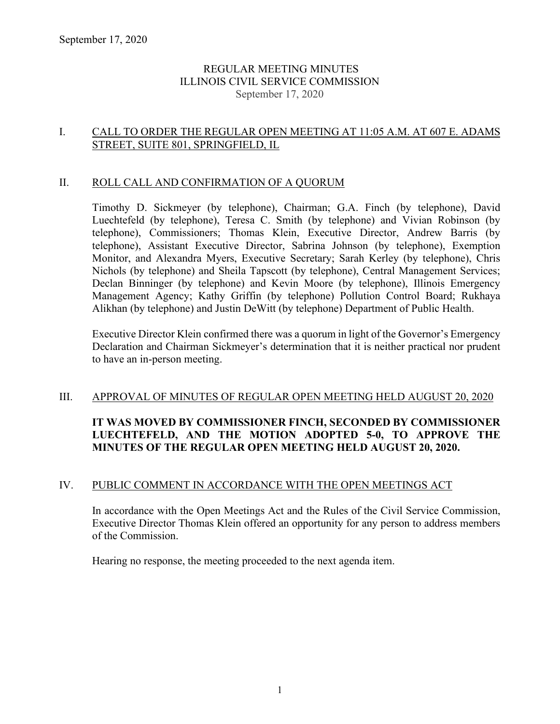### REGULAR MEETING MINUTES ILLINOIS CIVIL SERVICE COMMISSION September 17, 2020

## I. CALL TO ORDER THE REGULAR OPEN MEETING AT 11:05 A.M. AT 607 E. ADAMS STREET, SUITE 801, SPRINGFIELD, IL

### II. ROLL CALL AND CONFIRMATION OF A QUORUM

Timothy D. Sickmeyer (by telephone), Chairman; G.A. Finch (by telephone), David Luechtefeld (by telephone), Teresa C. Smith (by telephone) and Vivian Robinson (by telephone), Commissioners; Thomas Klein, Executive Director, Andrew Barris (by telephone), Assistant Executive Director, Sabrina Johnson (by telephone), Exemption Monitor, and Alexandra Myers, Executive Secretary; Sarah Kerley (by telephone), Chris Nichols (by telephone) and Sheila Tapscott (by telephone), Central Management Services; Declan Binninger (by telephone) and Kevin Moore (by telephone), Illinois Emergency Management Agency; Kathy Griffin (by telephone) Pollution Control Board; Rukhaya Alikhan (by telephone) and Justin DeWitt (by telephone) Department of Public Health.

Executive Director Klein confirmed there was a quorum in light of the Governor's Emergency Declaration and Chairman Sickmeyer's determination that it is neither practical nor prudent to have an in-person meeting.

## III. APPROVAL OF MINUTES OF REGULAR OPEN MEETING HELD AUGUST 20, 2020

# **IT WAS MOVED BY COMMISSIONER FINCH, SECONDED BY COMMISSIONER LUECHTEFELD, AND THE MOTION ADOPTED 5-0, TO APPROVE THE MINUTES OF THE REGULAR OPEN MEETING HELD AUGUST 20, 2020.**

## IV. PUBLIC COMMENT IN ACCORDANCE WITH THE OPEN MEETINGS ACT

In accordance with the Open Meetings Act and the Rules of the Civil Service Commission, Executive Director Thomas Klein offered an opportunity for any person to address members of the Commission.

Hearing no response, the meeting proceeded to the next agenda item.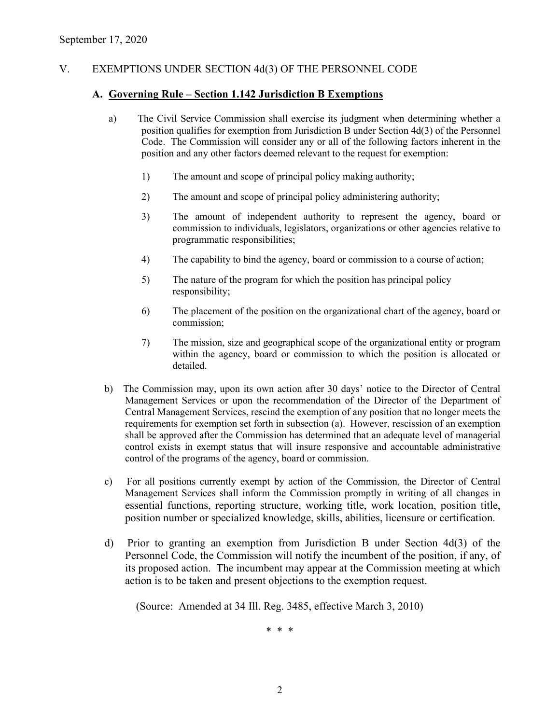### V. EXEMPTIONS UNDER SECTION 4d(3) OF THE PERSONNEL CODE

#### **A. Governing Rule – Section 1.142 Jurisdiction B Exemptions**

- a) The Civil Service Commission shall exercise its judgment when determining whether a position qualifies for exemption from Jurisdiction B under Section 4d(3) of the Personnel Code. The Commission will consider any or all of the following factors inherent in the position and any other factors deemed relevant to the request for exemption:
	- 1) The amount and scope of principal policy making authority;
	- 2) The amount and scope of principal policy administering authority;
	- 3) The amount of independent authority to represent the agency, board or commission to individuals, legislators, organizations or other agencies relative to programmatic responsibilities;
	- 4) The capability to bind the agency, board or commission to a course of action;
	- 5) The nature of the program for which the position has principal policy responsibility;
	- 6) The placement of the position on the organizational chart of the agency, board or commission;
	- 7) The mission, size and geographical scope of the organizational entity or program within the agency, board or commission to which the position is allocated or detailed.
- b) The Commission may, upon its own action after 30 days' notice to the Director of Central Management Services or upon the recommendation of the Director of the Department of Central Management Services, rescind the exemption of any position that no longer meets the requirements for exemption set forth in subsection (a). However, rescission of an exemption shall be approved after the Commission has determined that an adequate level of managerial control exists in exempt status that will insure responsive and accountable administrative control of the programs of the agency, board or commission.
- c) For all positions currently exempt by action of the Commission, the Director of Central Management Services shall inform the Commission promptly in writing of all changes in essential functions, reporting structure, working title, work location, position title, position number or specialized knowledge, skills, abilities, licensure or certification.
- d) Prior to granting an exemption from Jurisdiction B under Section 4d(3) of the Personnel Code, the Commission will notify the incumbent of the position, if any, of its proposed action. The incumbent may appear at the Commission meeting at which action is to be taken and present objections to the exemption request.

(Source: Amended at 34 Ill. Reg. 3485, effective March 3, 2010)

\* \* \*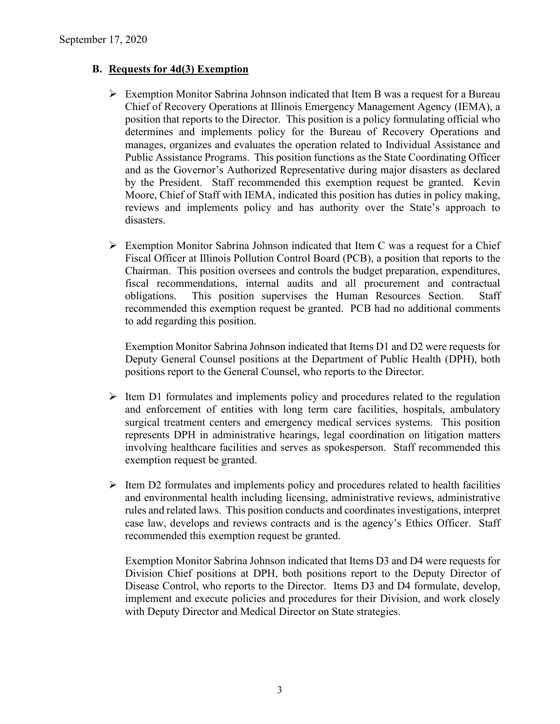## **B. Requests for 4d(3) Exemption**

- $\triangleright$  Exemption Monitor Sabrina Johnson indicated that Item B was a request for a Bureau Chief of Recovery Operations at Illinois Emergency Management Agency (IEMA), a position that reports to the Director. This position is a policy formulating official who determines and implements policy for the Bureau of Recovery Operations and manages, organizes and evaluates the operation related to Individual Assistance and Public Assistance Programs. This position functions as the State Coordinating Officer and as the Governor's Authorized Representative during major disasters as declared by the President. Staff recommended this exemption request be granted. Kevin Moore, Chief of Staff with IEMA, indicated this position has duties in policy making, reviews and implements policy and has authority over the State's approach to disasters.
- $\triangleright$  Exemption Monitor Sabrina Johnson indicated that Item C was a request for a Chief Fiscal Officer at Illinois Pollution Control Board (PCB), a position that reports to the Chairman. This position oversees and controls the budget preparation, expenditures, fiscal recommendations, internal audits and all procurement and contractual obligations. This position supervises the Human Resources Section. Staff recommended this exemption request be granted. PCB had no additional comments to add regarding this position.

Exemption Monitor Sabrina Johnson indicated that Items D1 and D2 were requests for Deputy General Counsel positions at the Department of Public Health (DPH), both positions report to the General Counsel, who reports to the Director.

- $\triangleright$  Item D1 formulates and implements policy and procedures related to the regulation and enforcement of entities with long term care facilities, hospitals, ambulatory surgical treatment centers and emergency medical services systems. This position represents DPH in administrative hearings, legal coordination on litigation matters involving healthcare facilities and serves as spokesperson. Staff recommended this exemption request be granted.
- $\triangleright$  Item D2 formulates and implements policy and procedures related to health facilities and environmental health including licensing, administrative reviews, administrative rules and related laws. This position conducts and coordinates investigations, interpret case law, develops and reviews contracts and is the agency's Ethics Officer. Staff recommended this exemption request be granted.

Exemption Monitor Sabrina Johnson indicated that Items D3 and D4 were requests for Division Chief positions at DPH, both positions report to the Deputy Director of Disease Control, who reports to the Director. Items D3 and D4 formulate, develop, implement and execute policies and procedures for their Division, and work closely with Deputy Director and Medical Director on State strategies.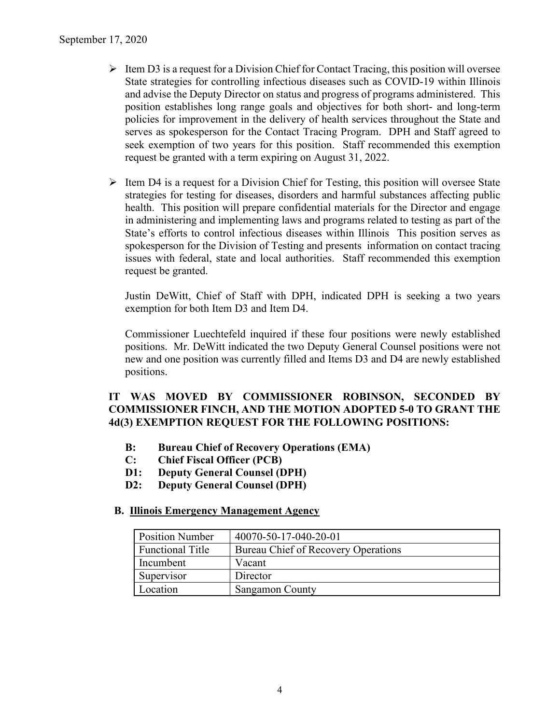- $\triangleright$  Item D3 is a request for a Division Chief for Contact Tracing, this position will oversee State strategies for controlling infectious diseases such as COVID-19 within Illinois and advise the Deputy Director on status and progress of programs administered. This position establishes long range goals and objectives for both short- and long-term policies for improvement in the delivery of health services throughout the State and serves as spokesperson for the Contact Tracing Program. DPH and Staff agreed to seek exemption of two years for this position. Staff recommended this exemption request be granted with a term expiring on August 31, 2022.
- $\triangleright$  Item D4 is a request for a Division Chief for Testing, this position will oversee State strategies for testing for diseases, disorders and harmful substances affecting public health. This position will prepare confidential materials for the Director and engage in administering and implementing laws and programs related to testing as part of the State's efforts to control infectious diseases within Illinois This position serves as spokesperson for the Division of Testing and presents information on contact tracing issues with federal, state and local authorities. Staff recommended this exemption request be granted.

Justin DeWitt, Chief of Staff with DPH, indicated DPH is seeking a two years exemption for both Item D3 and Item D4.

Commissioner Luechtefeld inquired if these four positions were newly established positions. Mr. DeWitt indicated the two Deputy General Counsel positions were not new and one position was currently filled and Items D3 and D4 are newly established positions.

### **IT WAS MOVED BY COMMISSIONER ROBINSON, SECONDED BY COMMISSIONER FINCH, AND THE MOTION ADOPTED 5-0 TO GRANT THE 4d(3) EXEMPTION REQUEST FOR THE FOLLOWING POSITIONS:**

- **B: Bureau Chief of Recovery Operations (EMA)**
- **C: Chief Fiscal Officer (PCB)**
- **D1: Deputy General Counsel (DPH)**
- **D2: Deputy General Counsel (DPH)**

#### **B. Illinois Emergency Management Agency**

| <b>Position Number</b>  | 40070-50-17-040-20-01               |
|-------------------------|-------------------------------------|
| <b>Functional Title</b> | Bureau Chief of Recovery Operations |
| Incumbent               | Vacant                              |
| Supervisor              | Director                            |
| Location                | <b>Sangamon County</b>              |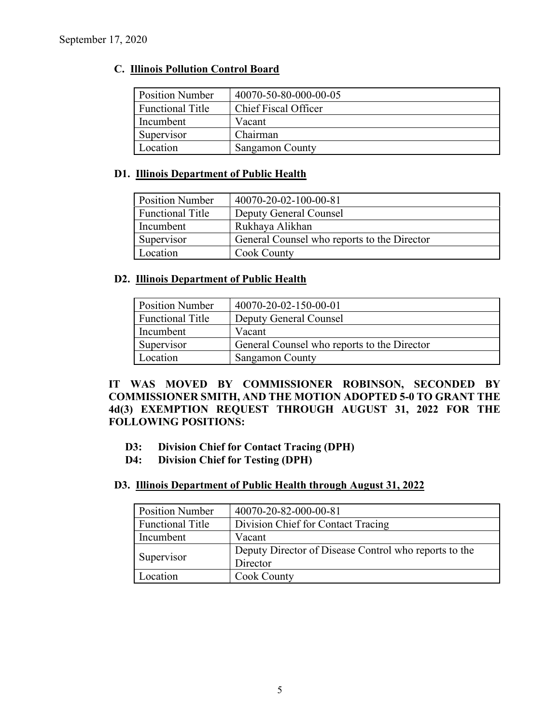## **C. Illinois Pollution Control Board**

| <b>Position Number</b>  | 40070-50-80-000-00-05  |
|-------------------------|------------------------|
| <b>Functional Title</b> | Chief Fiscal Officer   |
| Incumbent               | Vacant                 |
| Supervisor              | Chairman               |
| Location                | <b>Sangamon County</b> |

### **D1. Illinois Department of Public Health**

| <b>Position Number</b>  | 40070-20-02-100-00-81                       |
|-------------------------|---------------------------------------------|
| <b>Functional Title</b> | Deputy General Counsel                      |
| Incumbent               | Rukhaya Alikhan                             |
| Supervisor              | General Counsel who reports to the Director |
| Location                | Cook County                                 |

### **D2. Illinois Department of Public Health**

| <b>Position Number</b>  | 40070-20-02-150-00-01                       |
|-------------------------|---------------------------------------------|
| <b>Functional Title</b> | Deputy General Counsel                      |
| Incumbent               | Vacant                                      |
| Supervisor              | General Counsel who reports to the Director |
| Location                | <b>Sangamon County</b>                      |

## **IT WAS MOVED BY COMMISSIONER ROBINSON, SECONDED BY COMMISSIONER SMITH, AND THE MOTION ADOPTED 5-0 TO GRANT THE 4d(3) EXEMPTION REQUEST THROUGH AUGUST 31, 2022 FOR THE FOLLOWING POSITIONS:**

- **D3: Division Chief for Contact Tracing (DPH)**
- **D4: Division Chief for Testing (DPH)**

### **D3. Illinois Department of Public Health through August 31, 2022**

| <b>Position Number</b>  | 40070-20-82-000-00-81                                 |
|-------------------------|-------------------------------------------------------|
| <b>Functional Title</b> | Division Chief for Contact Tracing                    |
| Incumbent               | Vacant                                                |
|                         | Deputy Director of Disease Control who reports to the |
| Supervisor              | Director                                              |
| Location                | <b>Cook County</b>                                    |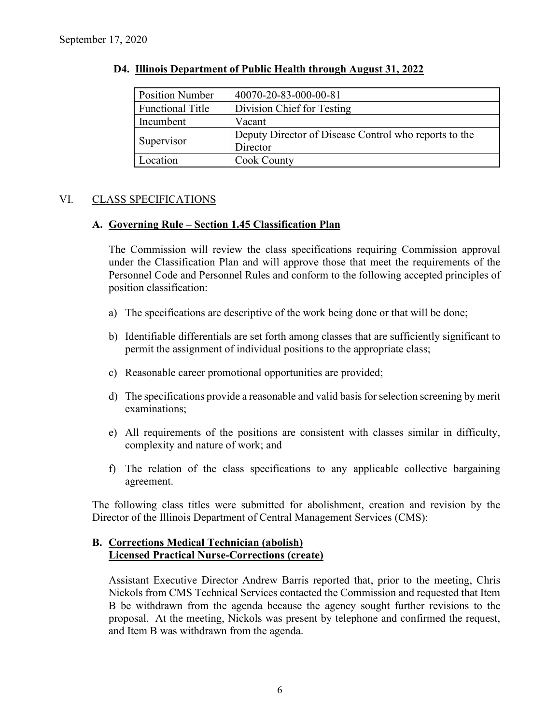| <b>Position Number</b>  | 40070-20-83-000-00-81                                 |
|-------------------------|-------------------------------------------------------|
| <b>Functional Title</b> | Division Chief for Testing                            |
| Incumbent               | Vacant                                                |
|                         | Deputy Director of Disease Control who reports to the |
| Supervisor              | Director                                              |
| Location                | Cook County                                           |

#### **D4. Illinois Department of Public Health through August 31, 2022**

### VI. CLASS SPECIFICATIONS

#### **A. Governing Rule – Section 1.45 Classification Plan**

The Commission will review the class specifications requiring Commission approval under the Classification Plan and will approve those that meet the requirements of the Personnel Code and Personnel Rules and conform to the following accepted principles of position classification:

- a) The specifications are descriptive of the work being done or that will be done;
- b) Identifiable differentials are set forth among classes that are sufficiently significant to permit the assignment of individual positions to the appropriate class;
- c) Reasonable career promotional opportunities are provided;
- d) The specifications provide a reasonable and valid basis for selection screening by merit examinations;
- e) All requirements of the positions are consistent with classes similar in difficulty, complexity and nature of work; and
- f) The relation of the class specifications to any applicable collective bargaining agreement.

The following class titles were submitted for abolishment, creation and revision by the Director of the Illinois Department of Central Management Services (CMS):

### **B. Corrections Medical Technician (abolish) Licensed Practical Nurse-Corrections (create)**

Assistant Executive Director Andrew Barris reported that, prior to the meeting, Chris Nickols from CMS Technical Services contacted the Commission and requested that Item B be withdrawn from the agenda because the agency sought further revisions to the proposal. At the meeting, Nickols was present by telephone and confirmed the request, and Item B was withdrawn from the agenda.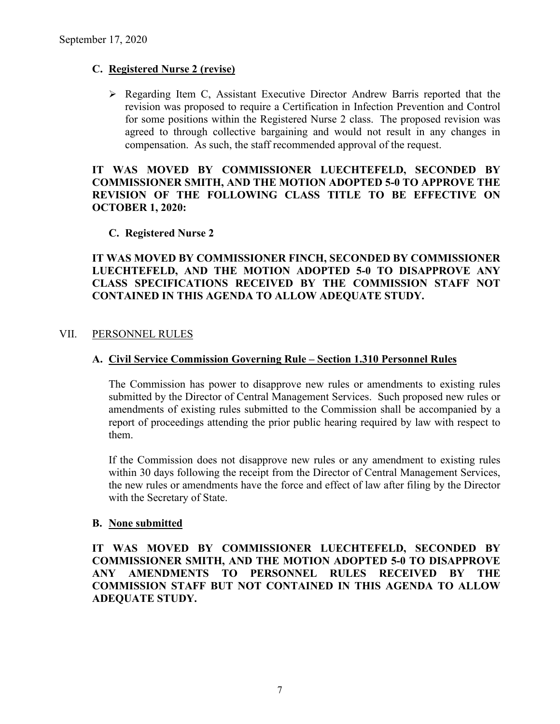### **C. Registered Nurse 2 (revise)**

 $\triangleright$  Regarding Item C, Assistant Executive Director Andrew Barris reported that the revision was proposed to require a Certification in Infection Prevention and Control for some positions within the Registered Nurse 2 class. The proposed revision was agreed to through collective bargaining and would not result in any changes in compensation. As such, the staff recommended approval of the request.

## **IT WAS MOVED BY COMMISSIONER LUECHTEFELD, SECONDED BY COMMISSIONER SMITH, AND THE MOTION ADOPTED 5-0 TO APPROVE THE REVISION OF THE FOLLOWING CLASS TITLE TO BE EFFECTIVE ON OCTOBER 1, 2020:**

#### **C. Registered Nurse 2**

**IT WAS MOVED BY COMMISSIONER FINCH, SECONDED BY COMMISSIONER LUECHTEFELD, AND THE MOTION ADOPTED 5-0 TO DISAPPROVE ANY CLASS SPECIFICATIONS RECEIVED BY THE COMMISSION STAFF NOT CONTAINED IN THIS AGENDA TO ALLOW ADEQUATE STUDY.** 

#### VII. PERSONNEL RULES

### **A. Civil Service Commission Governing Rule – Section 1.310 Personnel Rules**

The Commission has power to disapprove new rules or amendments to existing rules submitted by the Director of Central Management Services. Such proposed new rules or amendments of existing rules submitted to the Commission shall be accompanied by a report of proceedings attending the prior public hearing required by law with respect to them.

If the Commission does not disapprove new rules or any amendment to existing rules within 30 days following the receipt from the Director of Central Management Services, the new rules or amendments have the force and effect of law after filing by the Director with the Secretary of State.

#### **B. None submitted**

**IT WAS MOVED BY COMMISSIONER LUECHTEFELD, SECONDED BY COMMISSIONER SMITH, AND THE MOTION ADOPTED 5-0 TO DISAPPROVE ANY AMENDMENTS TO PERSONNEL RULES RECEIVED BY THE COMMISSION STAFF BUT NOT CONTAINED IN THIS AGENDA TO ALLOW ADEQUATE STUDY.**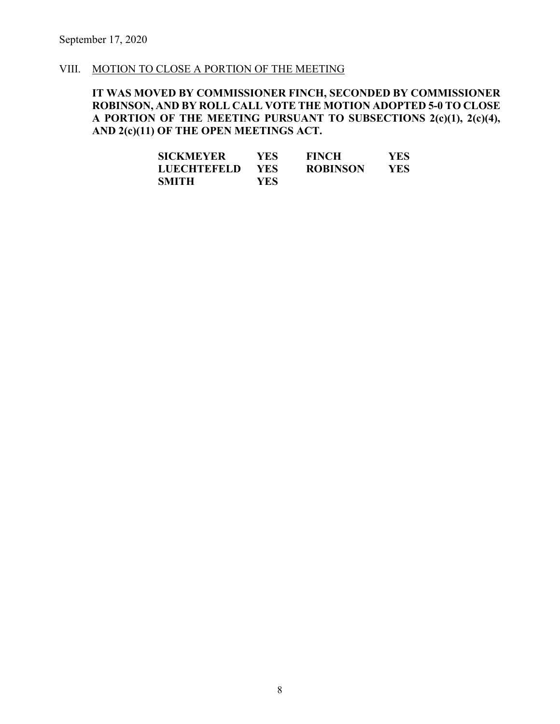#### VIII. MOTION TO CLOSE A PORTION OF THE MEETING

## **IT WAS MOVED BY COMMISSIONER FINCH, SECONDED BY COMMISSIONER ROBINSON, AND BY ROLL CALL VOTE THE MOTION ADOPTED 5-0 TO CLOSE A PORTION OF THE MEETING PURSUANT TO SUBSECTIONS 2(c)(1), 2(c)(4), AND 2(c)(11) OF THE OPEN MEETINGS ACT.**

| SICKMEYER   | YES.       | <b>FINCH</b>    | YES |
|-------------|------------|-----------------|-----|
| LUECHTEFELD | <b>YES</b> | <b>ROBINSON</b> | YES |
| SMITH       | YES.       |                 |     |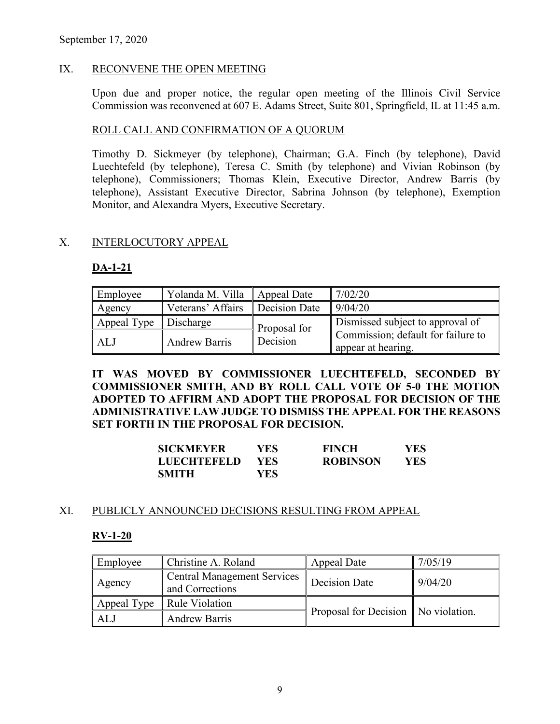## IX. RECONVENE THE OPEN MEETING

Upon due and proper notice, the regular open meeting of the Illinois Civil Service Commission was reconvened at 607 E. Adams Street, Suite 801, Springfield, IL at 11:45 a.m.

### ROLL CALL AND CONFIRMATION OF A QUORUM

Timothy D. Sickmeyer (by telephone), Chairman; G.A. Finch (by telephone), David Luechtefeld (by telephone), Teresa C. Smith (by telephone) and Vivian Robinson (by telephone), Commissioners; Thomas Klein, Executive Director, Andrew Barris (by telephone), Assistant Executive Director, Sabrina Johnson (by telephone), Exemption Monitor, and Alexandra Myers, Executive Secretary.

### X. INTERLOCUTORY APPEAL

### **DA-1-21**

| Employee    | Yolanda M. Villa     | Appeal Date   | 7/02/20                                                  |
|-------------|----------------------|---------------|----------------------------------------------------------|
| Agency      | Veterans' Affairs    | Decision Date | 9/04/20                                                  |
| Appeal Type | <b>Discharge</b>     | Proposal for  | Dismissed subject to approval of                         |
| ALJ         | <b>Andrew Barris</b> | Decision      | Commission; default for failure to<br>appear at hearing. |

**IT WAS MOVED BY COMMISSIONER LUECHTEFELD, SECONDED BY COMMISSIONER SMITH, AND BY ROLL CALL VOTE OF 5-0 THE MOTION ADOPTED TO AFFIRM AND ADOPT THE PROPOSAL FOR DECISION OF THE ADMINISTRATIVE LAW JUDGE TO DISMISS THE APPEAL FOR THE REASONS SET FORTH IN THE PROPOSAL FOR DECISION.**

| SICKMEYER          | YES- | <b>FINCH</b>    | YES. |
|--------------------|------|-----------------|------|
| <b>LUECHTEFELD</b> | YES  | <b>ROBINSON</b> | YES. |
| <b>SMITH</b>       | YES  |                 |      |

## XI. PUBLICLY ANNOUNCED DECISIONS RESULTING FROM APPEAL

#### **RV-1-20**

| Employee    | Christine A. Roland                                   | Appeal Date                           | 7/05/19 |
|-------------|-------------------------------------------------------|---------------------------------------|---------|
| Agency      | <b>Central Management Services</b><br>and Corrections | <b>Decision Date</b>                  | 9/04/20 |
| Appeal Type | Rule Violation                                        |                                       |         |
| AL.         | <b>Andrew Barris</b>                                  | Proposal for Decision   No violation. |         |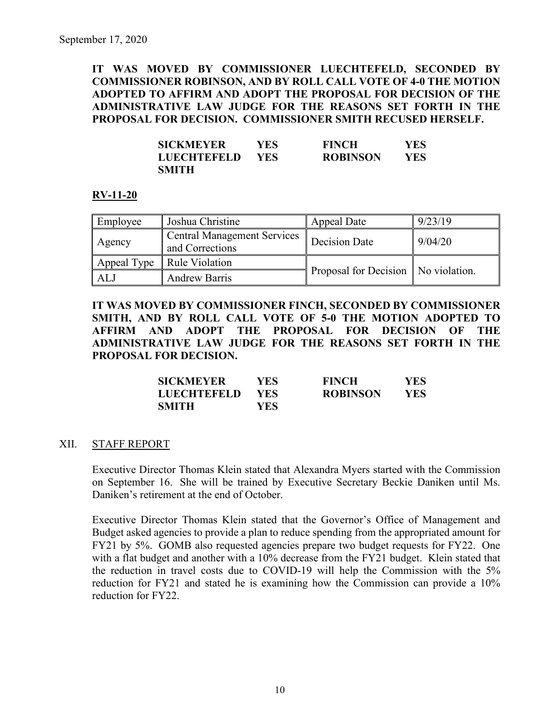**IT WAS MOVED BY COMMISSIONER LUECHTEFELD, SECONDED BY COMMISSIONER ROBINSON, AND BY ROLL CALL VOTE OF 4-0 THE MOTION ADOPTED TO AFFIRM AND ADOPT THE PROPOSAL FOR DECISION OF THE ADMINISTRATIVE LAW JUDGE FOR THE REASONS SET FORTH IN THE PROPOSAL FOR DECISION. COMMISSIONER SMITH RECUSED HERSELF.** 

| SICKMEYER   | YES | <b>FINCH</b>    | <b>YES</b> |
|-------------|-----|-----------------|------------|
| LUECHTEFELD | YES | <b>ROBINSON</b> | <b>YES</b> |
| SMITH       |     |                 |            |

#### **RV-11-20**

| Employee    | Joshua Christine                                      | Appeal Date                           | 9/23/19 |
|-------------|-------------------------------------------------------|---------------------------------------|---------|
| Agency      | <b>Central Management Services</b><br>and Corrections | Decision Date                         | 9/04/20 |
| Appeal Type | <b>Rule Violation</b>                                 |                                       |         |
| <b>ALJ</b>  | <b>Andrew Barris</b>                                  | Proposal for Decision   No violation. |         |

**IT WAS MOVED BY COMMISSIONER FINCH, SECONDED BY COMMISSIONER SMITH, AND BY ROLL CALL VOTE OF 5-0 THE MOTION ADOPTED TO AFFIRM AND ADOPT THE PROPOSAL FOR DECISION OF THE ADMINISTRATIVE LAW JUDGE FOR THE REASONS SET FORTH IN THE PROPOSAL FOR DECISION.** 

| <b>SICKMEYER</b>   | YES. | <b>FINCH</b>    | YES  |
|--------------------|------|-----------------|------|
| <b>LUECHTEFELD</b> | YES. | <b>ROBINSON</b> | YES. |
| <b>SMITH</b>       | YES. |                 |      |

#### XII. STAFF REPORT

Executive Director Thomas Klein stated that Alexandra Myers started with the Commission on September 16. She will be trained by Executive Secretary Beckie Daniken until Ms. Daniken's retirement at the end of October.

Executive Director Thomas Klein stated that the Governor's Office of Management and Budget asked agencies to provide a plan to reduce spending from the appropriated amount for FY21 by 5%. GOMB also requested agencies prepare two budget requests for FY22. One with a flat budget and another with a 10% decrease from the FY21 budget. Klein stated that the reduction in travel costs due to COVID-19 will help the Commission with the 5% reduction for FY21 and stated he is examining how the Commission can provide a 10% reduction for FY22.